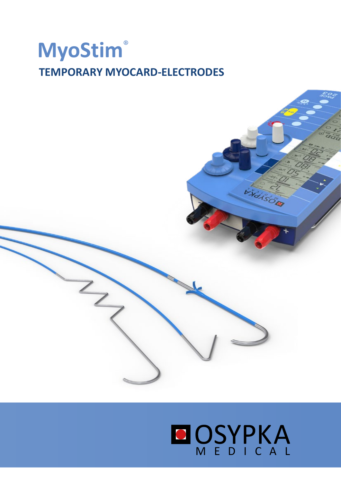# **MyoStim**® **TEMPORARY MYOCARD-ELEKTRODES MYOCARD-ELECTRODES**

 $\overrightarrow{z}$ 



**SYdASOR**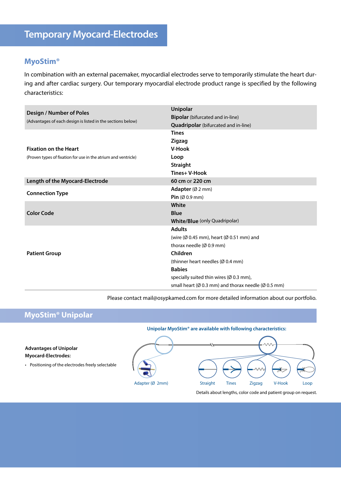# **MyoStim®**

In combination with an external pacemaker, myocardial electrodes serve to temporarily stimulate the heart during and after cardiac surgery. Our temporary myocardial electrode product range is specified by the following characteristics:

| <b>Design / Number of Poles</b>                                | Unipolar                                                                      |  |  |  |  |
|----------------------------------------------------------------|-------------------------------------------------------------------------------|--|--|--|--|
| (Advantages of each design is listed in the sections below)    | <b>Bipolar</b> (bifurcated and in-line)                                       |  |  |  |  |
|                                                                | Quadripolar (bifurcated and in-line)                                          |  |  |  |  |
|                                                                | <b>Tines</b>                                                                  |  |  |  |  |
|                                                                | Zigzag                                                                        |  |  |  |  |
| <b>Fixation on the Heart</b>                                   | <b>V-Hook</b>                                                                 |  |  |  |  |
| (Proven types of fixation for use in the atrium and ventricle) | Loop                                                                          |  |  |  |  |
|                                                                | <b>Straight</b>                                                               |  |  |  |  |
|                                                                | Tines+V-Hook                                                                  |  |  |  |  |
| Length of the Myocard-Electrode                                | 60 cm or 220 cm                                                               |  |  |  |  |
| <b>Connection Type</b>                                         | Adapter (Ø 2 mm)                                                              |  |  |  |  |
|                                                                | Pin $(Ø 0.9 mm)$                                                              |  |  |  |  |
|                                                                | White                                                                         |  |  |  |  |
| <b>Color Code</b>                                              | <b>Blue</b>                                                                   |  |  |  |  |
|                                                                | <b>White/Blue</b> (only Quadripolar)                                          |  |  |  |  |
|                                                                | <b>Adults</b>                                                                 |  |  |  |  |
|                                                                | (wire (Ø 0.45 mm), heart (Ø 0.51 mm) and                                      |  |  |  |  |
|                                                                | thorax needle (Ø 0.9 mm)                                                      |  |  |  |  |
| <b>Patient Group</b>                                           | Children                                                                      |  |  |  |  |
|                                                                | (thinner heart needles (Ø 0.4 mm)                                             |  |  |  |  |
|                                                                | <b>Babies</b>                                                                 |  |  |  |  |
|                                                                | specially suited thin wires (Ø 0.3 mm),                                       |  |  |  |  |
|                                                                | small heart ( $\varnothing$ 0.3 mm) and thorax needle ( $\varnothing$ 0.5 mm) |  |  |  |  |

Please contact mail@osypkamed.com for more detailed information about our portfolio.

# **MyoStim® Unipolar**

• Positioning of the electrodes freely selectable

**Advantages of Unipolar Myocard-Electrodes:**



**Unipolar MyoStim® are available with following characteristics:**

Details about lengths, color code and patient group on request.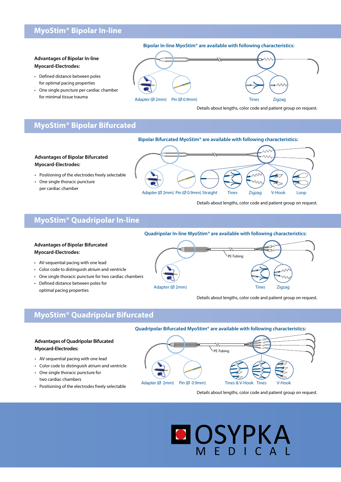# **MyoStim® Bipolar In-line**

#### **Advantages of Bipolar In-line Myocard-Electrodes:**

- Defined distance between poles for optimal pacing properties
- One single puncture per cardiac chamber for minimal tissue trauma



Details about lengths, color code and patient group on request.

# **MyoStim® Bipolar Bifurcated**

**Bipolar Bifurcated MyoStim® are available with following characteristics:**

#### **Advantages of Bipolar Bifurcated Myocard-Electrodes:**

- Positioning of the electrodes freely selectable
- One single thoracic puncture per cardiac chamber



Details about lengths, color code and patient group on request.

# **MyoStim® Quadripolar In-line**

#### **Quadripolar In-line MyoStim® are available with following characteristics:**



Details about lengths, color code and patient group on request.

## **MyoStim® Quadripolar Bifurcated**

**Quadripolar Bifurcated MyoStim® are available with following characteristics:**



Details about lengths, color code and patient group on request.

# MEDICAL

## **Advantages of Quadripolar Bifucated Myocard-Electrodes:**

- AV-sequential pacing with one lead
- Color code to distinguish atrium and ventricle
- One single thoracic puncture for two cardiac chambers
- Positioning of the electrodes freely selectable